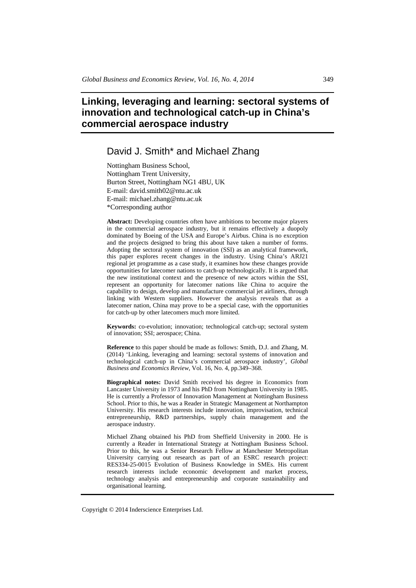# **Linking, leveraging and learning: sectoral systems of innovation and technological catch-up in China's commercial aerospace industry**

# David J. Smith\* and Michael Zhang

Nottingham Business School, Nottingham Trent University, Burton Street, Nottingham NG1 4BU, UK E-mail: david.smith02@ntu.ac.uk E-mail: michael.zhang@ntu.ac.uk \*Corresponding author

**Abstract:** Developing countries often have ambitions to become major players in the commercial aerospace industry, but it remains effectively a duopoly dominated by Boeing of the USA and Europe's Airbus. China is no exception and the projects designed to bring this about have taken a number of forms. Adopting the sectoral system of innovation (SSI) as an analytical framework, this paper explores recent changes in the industry. Using China's ARJ21 regional jet programme as a case study, it examines how these changes provide opportunities for latecomer nations to catch-up technologically. It is argued that the new institutional context and the presence of new actors within the SSI, represent an opportunity for latecomer nations like China to acquire the capability to design, develop and manufacture commercial jet airliners, through linking with Western suppliers. However the analysis reveals that as a latecomer nation, China may prove to be a special case, with the opportunities for catch-up by other latecomers much more limited.

**Keywords:** co-evolution; innovation; technological catch-up; sectoral system of innovation; SSI; aerospace; China.

**Reference** to this paper should be made as follows: Smith, D.J. and Zhang, M. (2014) 'Linking, leveraging and learning: sectoral systems of innovation and technological catch-up in China's commercial aerospace industry', *Global Business and Economics Review*, Vol. 16, No. 4, pp.349–368.

**Biographical notes:** David Smith received his degree in Economics from Lancaster University in 1973 and his PhD from Nottingham University in 1985. He is currently a Professor of Innovation Management at Nottingham Business School. Prior to this, he was a Reader in Strategic Management at Northampton University. His research interests include innovation, improvisation, technical entrepreneurship, R&D partnerships, supply chain management and the aerospace industry.

Michael Zhang obtained his PhD from Sheffield University in 2000. He is currently a Reader in International Strategy at Nottingham Business School. Prior to this, he was a Senior Research Fellow at Manchester Metropolitan University carrying out research as part of an ESRC research project: RES334-25-0015 Evolution of Business Knowledge in SMEs. His current research interests include economic development and market process, technology analysis and entrepreneurship and corporate sustainability and organisational learning.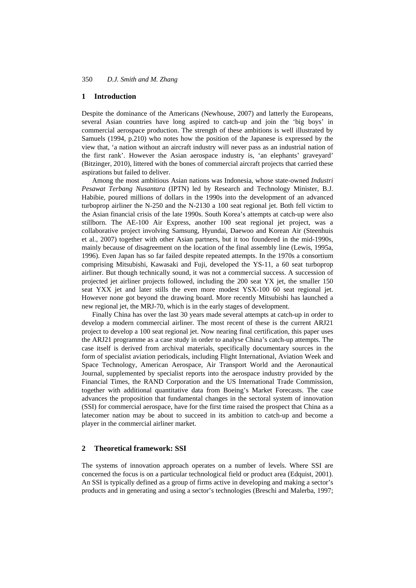## **1 Introduction**

Despite the dominance of the Americans (Newhouse, 2007) and latterly the Europeans, several Asian countries have long aspired to catch-up and join the 'big boys' in commercial aerospace production. The strength of these ambitions is well illustrated by Samuels (1994, p.210) who notes how the position of the Japanese is expressed by the view that, 'a nation without an aircraft industry will never pass as an industrial nation of the first rank'. However the Asian aerospace industry is, 'an elephants' graveyard' (Bitzinger, 2010), littered with the bones of commercial aircraft projects that carried these aspirations but failed to deliver.

Among the most ambitious Asian nations was Indonesia, whose state-owned *Industri Pesawat Terbang Nusantara* (IPTN) led by Research and Technology Minister, B.J. Habibie, poured millions of dollars in the 1990s into the development of an advanced turboprop airliner the N-250 and the N-2130 a 100 seat regional jet. Both fell victim to the Asian financial crisis of the late 1990s. South Korea's attempts at catch-up were also stillborn. The AE-100 Air Express, another 100 seat regional jet project, was a collaborative project involving Samsung, Hyundai, Daewoo and Korean Air (Steenhuis et al., 2007) together with other Asian partners, but it too foundered in the mid-1990s, mainly because of disagreement on the location of the final assembly line (Lewis, 1995a, 1996). Even Japan has so far failed despite repeated attempts. In the 1970s a consortium comprising Mitsubishi, Kawasaki and Fuji, developed the YS-11, a 60 seat turboprop airliner. But though technically sound, it was not a commercial success. A succession of projected jet airliner projects followed, including the 200 seat YX jet, the smaller 150 seat YXX jet and later stills the even more modest YSX-100 60 seat regional jet. However none got beyond the drawing board. More recently Mitsubishi has launched a new regional jet, the MRJ-70, which is in the early stages of development.

Finally China has over the last 30 years made several attempts at catch-up in order to develop a modern commercial airliner. The most recent of these is the current ARJ21 project to develop a 100 seat regional jet. Now nearing final certification, this paper uses the ARJ21 programme as a case study in order to analyse China's catch-up attempts. The case itself is derived from archival materials, specifically documentary sources in the form of specialist aviation periodicals, including Flight International, Aviation Week and Space Technology, American Aerospace, Air Transport World and the Aeronautical Journal, supplemented by specialist reports into the aerospace industry provided by the Financial Times, the RAND Corporation and the US International Trade Commission, together with additional quantitative data from Boeing's Market Forecasts. The case advances the proposition that fundamental changes in the sectoral system of innovation (SSI) for commercial aerospace, have for the first time raised the prospect that China as a latecomer nation may be about to succeed in its ambition to catch-up and become a player in the commercial airliner market.

## **2 Theoretical framework: SSI**

The systems of innovation approach operates on a number of levels. Where SSI are concerned the focus is on a particular technological field or product area (Edquist, 2001). An SSI is typically defined as a group of firms active in developing and making a sector's products and in generating and using a sector's technologies (Breschi and Malerba, 1997;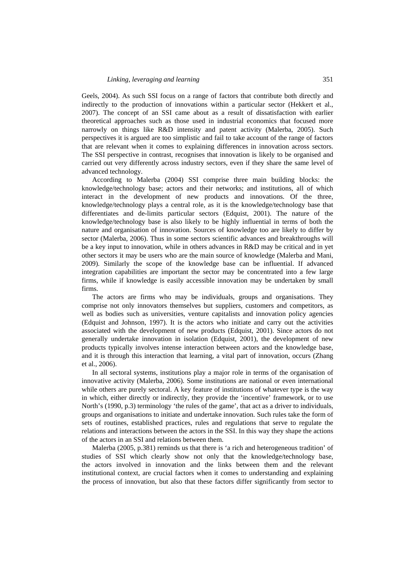Geels, 2004). As such SSI focus on a range of factors that contribute both directly and indirectly to the production of innovations within a particular sector (Hekkert et al., 2007). The concept of an SSI came about as a result of dissatisfaction with earlier theoretical approaches such as those used in industrial economics that focused more narrowly on things like R&D intensity and patent activity (Malerba, 2005). Such perspectives it is argued are too simplistic and fail to take account of the range of factors that are relevant when it comes to explaining differences in innovation across sectors. The SSI perspective in contrast, recognises that innovation is likely to be organised and carried out very differently across industry sectors, even if they share the same level of advanced technology.

According to Malerba (2004) SSI comprise three main building blocks: the knowledge/technology base; actors and their networks; and institutions, all of which interact in the development of new products and innovations. Of the three, knowledge/technology plays a central role, as it is the knowledge/technology base that differentiates and de-limits particular sectors (Edquist, 2001). The nature of the knowledge/technology base is also likely to be highly influential in terms of both the nature and organisation of innovation. Sources of knowledge too are likely to differ by sector (Malerba, 2006). Thus in some sectors scientific advances and breakthroughs will be a key input to innovation, while in others advances in R&D may be critical and in yet other sectors it may be users who are the main source of knowledge (Malerba and Mani, 2009). Similarly the scope of the knowledge base can be influential. If advanced integration capabilities are important the sector may be concentrated into a few large firms, while if knowledge is easily accessible innovation may be undertaken by small firms.

The actors are firms who may be individuals, groups and organisations. They comprise not only innovators themselves but suppliers, customers and competitors, as well as bodies such as universities, venture capitalists and innovation policy agencies (Edquist and Johnson, 1997). It is the actors who initiate and carry out the activities associated with the development of new products (Edquist, 2001). Since actors do not generally undertake innovation in isolation (Edquist, 2001), the development of new products typically involves intense interaction between actors and the knowledge base, and it is through this interaction that learning, a vital part of innovation, occurs (Zhang et al., 2006).

In all sectoral systems, institutions play a major role in terms of the organisation of innovative activity (Malerba, 2006). Some institutions are national or even international while others are purely sectoral. A key feature of institutions of whatever type is the way in which, either directly or indirectly, they provide the 'incentive' framework, or to use North's (1990, p.3) terminology 'the rules of the game', that act as a driver to individuals, groups and organisations to initiate and undertake innovation. Such rules take the form of sets of routines, established practices, rules and regulations that serve to regulate the relations and interactions between the actors in the SSI. In this way they shape the actions of the actors in an SSI and relations between them.

Malerba (2005, p.381) reminds us that there is 'a rich and heterogeneous tradition' of studies of SSI which clearly show not only that the knowledge/technology base, the actors involved in innovation and the links between them and the relevant institutional context, are crucial factors when it comes to understanding and explaining the process of innovation, but also that these factors differ significantly from sector to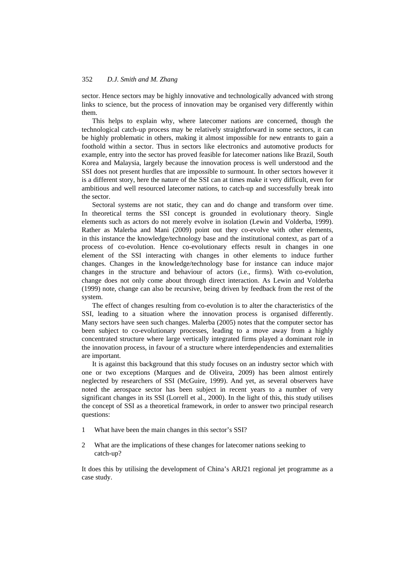sector. Hence sectors may be highly innovative and technologically advanced with strong links to science, but the process of innovation may be organised very differently within them.

This helps to explain why, where latecomer nations are concerned, though the technological catch-up process may be relatively straightforward in some sectors, it can be highly problematic in others, making it almost impossible for new entrants to gain a foothold within a sector. Thus in sectors like electronics and automotive products for example, entry into the sector has proved feasible for latecomer nations like Brazil, South Korea and Malaysia, largely because the innovation process is well understood and the SSI does not present hurdles that are impossible to surmount. In other sectors however it is a different story, here the nature of the SSI can at times make it very difficult, even for ambitious and well resourced latecomer nations, to catch-up and successfully break into the sector.

Sectoral systems are not static, they can and do change and transform over time. In theoretical terms the SSI concept is grounded in evolutionary theory. Single elements such as actors do not merely evolve in isolation (Lewin and Volderba, 1999). Rather as Malerba and Mani (2009) point out they co-evolve with other elements, in this instance the knowledge/technology base and the institutional context, as part of a process of co-evolution. Hence co-evolutionary effects result in changes in one element of the SSI interacting with changes in other elements to induce further changes. Changes in the knowledge/technology base for instance can induce major changes in the structure and behaviour of actors (i.e., firms). With co-evolution, change does not only come about through direct interaction. As Lewin and Volderba (1999) note, change can also be recursive, being driven by feedback from the rest of the system.

The effect of changes resulting from co-evolution is to alter the characteristics of the SSI, leading to a situation where the innovation process is organised differently. Many sectors have seen such changes. Malerba (2005) notes that the computer sector has been subject to co-evolutionary processes, leading to a move away from a highly concentrated structure where large vertically integrated firms played a dominant role in the innovation process, in favour of a structure where interdependencies and externalities are important.

It is against this background that this study focuses on an industry sector which with one or two exceptions (Marques and de Oliveira, 2009) has been almost entirely neglected by researchers of SSI (McGuire, 1999). And yet, as several observers have noted the aerospace sector has been subject in recent years to a number of very significant changes in its SSI (Lorrell et al., 2000). In the light of this, this study utilises the concept of SSI as a theoretical framework, in order to answer two principal research questions:

- 1 What have been the main changes in this sector's SSI?
- 2 What are the implications of these changes for latecomer nations seeking to catch-up?

It does this by utilising the development of China's ARJ21 regional jet programme as a case study.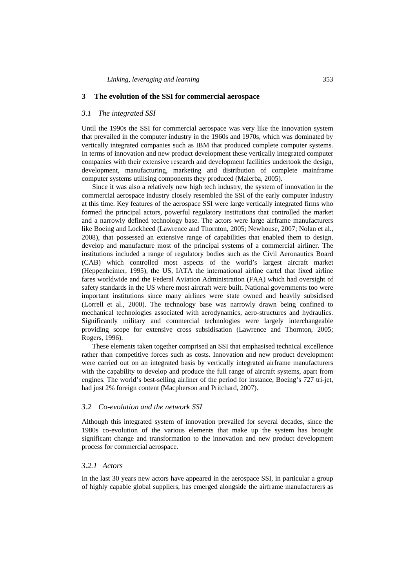## **3 The evolution of the SSI for commercial aerospace**

#### *3.1 The integrated SSI*

Until the 1990s the SSI for commercial aerospace was very like the innovation system that prevailed in the computer industry in the 1960s and 1970s, which was dominated by vertically integrated companies such as IBM that produced complete computer systems. In terms of innovation and new product development these vertically integrated computer companies with their extensive research and development facilities undertook the design, development, manufacturing, marketing and distribution of complete mainframe computer systems utilising components they produced (Malerba, 2005).

Since it was also a relatively new high tech industry, the system of innovation in the commercial aerospace industry closely resembled the SSI of the early computer industry at this time. Key features of the aerospace SSI were large vertically integrated firms who formed the principal actors, powerful regulatory institutions that controlled the market and a narrowly defined technology base. The actors were large airframe manufacturers like Boeing and Lockheed (Lawrence and Thornton, 2005; Newhouse, 2007; Nolan et al., 2008), that possessed an extensive range of capabilities that enabled them to design, develop and manufacture most of the principal systems of a commercial airliner. The institutions included a range of regulatory bodies such as the Civil Aeronautics Board (CAB) which controlled most aspects of the world's largest aircraft market (Heppenheimer, 1995), the US, IATA the international airline cartel that fixed airline fares worldwide and the Federal Aviation Administration (FAA) which had oversight of safety standards in the US where most aircraft were built. National governments too were important institutions since many airlines were state owned and heavily subsidised (Lorrell et al., 2000). The technology base was narrowly drawn being confined to mechanical technologies associated with aerodynamics, aero-structures and hydraulics. Significantly military and commercial technologies were largely interchangeable providing scope for extensive cross subsidisation (Lawrence and Thornton, 2005; Rogers, 1996).

These elements taken together comprised an SSI that emphasised technical excellence rather than competitive forces such as costs. Innovation and new product development were carried out on an integrated basis by vertically integrated airframe manufacturers with the capability to develop and produce the full range of aircraft systems, apart from engines. The world's best-selling airliner of the period for instance, Boeing's 727 tri-jet, had just 2% foreign content (Macpherson and Pritchard, 2007).

#### *3.2 Co-evolution and the network SSI*

Although this integrated system of innovation prevailed for several decades, since the 1980s co-evolution of the various elements that make up the system has brought significant change and transformation to the innovation and new product development process for commercial aerospace.

## *3.2.1 Actors*

In the last 30 years new actors have appeared in the aerospace SSI, in particular a group of highly capable global suppliers, has emerged alongside the airframe manufacturers as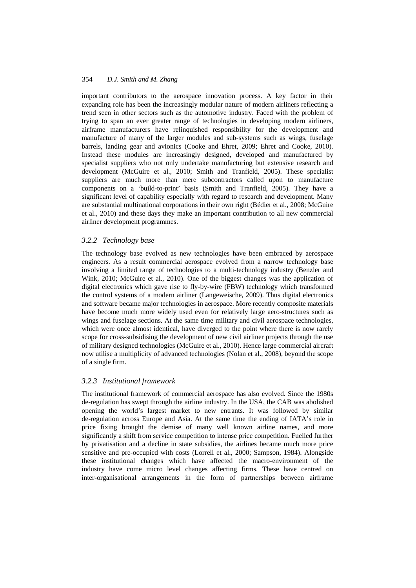important contributors to the aerospace innovation process. A key factor in their expanding role has been the increasingly modular nature of modern airliners reflecting a trend seen in other sectors such as the automotive industry. Faced with the problem of trying to span an ever greater range of technologies in developing modern airliners, airframe manufacturers have relinquished responsibility for the development and manufacture of many of the larger modules and sub-systems such as wings, fuselage barrels, landing gear and avionics (Cooke and Ehret, 2009; Ehret and Cooke, 2010). Instead these modules are increasingly designed, developed and manufactured by specialist suppliers who not only undertake manufacturing but extensive research and development (McGuire et al., 2010; Smith and Tranfield, 2005). These specialist suppliers are much more than mere subcontractors called upon to manufacture components on a 'build-to-print' basis (Smith and Tranfield, 2005). They have a significant level of capability especially with regard to research and development. Many are substantial multinational corporations in their own right (Bédier et al., 2008; McGuire et al., 2010) and these days they make an important contribution to all new commercial airliner development programmes.

## *3.2.2 Technology base*

The technology base evolved as new technologies have been embraced by aerospace engineers. As a result commercial aerospace evolved from a narrow technology base involving a limited range of technologies to a multi-technology industry (Benzler and Wink, 2010; McGuire et al., 2010). One of the biggest changes was the application of digital electronics which gave rise to fly-by-wire (FBW) technology which transformed the control systems of a modern airliner (Langeweische, 2009). Thus digital electronics and software became major technologies in aerospace. More recently composite materials have become much more widely used even for relatively large aero-structures such as wings and fuselage sections. At the same time military and civil aerospace technologies, which were once almost identical, have diverged to the point where there is now rarely scope for cross-subsidising the development of new civil airliner projects through the use of military designed technologies (McGuire et al., 2010). Hence large commercial aircraft now utilise a multiplicity of advanced technologies (Nolan et al., 2008), beyond the scope of a single firm.

## *3.2.3 Institutional framework*

The institutional framework of commercial aerospace has also evolved. Since the 1980s de-regulation has swept through the airline industry. In the USA, the CAB was abolished opening the world's largest market to new entrants. It was followed by similar de-regulation across Europe and Asia. At the same time the ending of IATA's role in price fixing brought the demise of many well known airline names, and more significantly a shift from service competition to intense price competition. Fuelled further by privatisation and a decline in state subsidies, the airlines became much more price sensitive and pre-occupied with costs (Lorrell et al., 2000; Sampson, 1984). Alongside these institutional changes which have affected the macro-environment of the industry have come micro level changes affecting firms. These have centred on inter-organisational arrangements in the form of partnerships between airframe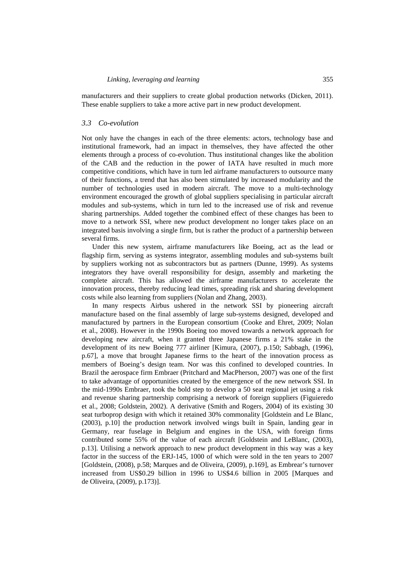manufacturers and their suppliers to create global production networks (Dicken, 2011). These enable suppliers to take a more active part in new product development.

#### *3.3 Co-evolution*

Not only have the changes in each of the three elements: actors, technology base and institutional framework, had an impact in themselves, they have affected the other elements through a process of co-evolution. Thus institutional changes like the abolition of the CAB and the reduction in the power of IATA have resulted in much more competitive conditions, which have in turn led airframe manufacturers to outsource many of their functions, a trend that has also been stimulated by increased modularity and the number of technologies used in modern aircraft. The move to a multi-technology environment encouraged the growth of global suppliers specialising in particular aircraft modules and sub-systems, which in turn led to the increased use of risk and revenue sharing partnerships. Added together the combined effect of these changes has been to move to a network SSI, where new product development no longer takes place on an integrated basis involving a single firm, but is rather the product of a partnership between several firms.

Under this new system, airframe manufacturers like Boeing, act as the lead or flagship firm, serving as systems integrator, assembling modules and sub-systems built by suppliers working not as subcontractors but as partners (Dunne, 1999). As systems integrators they have overall responsibility for design, assembly and marketing the complete aircraft. This has allowed the airframe manufacturers to accelerate the innovation process, thereby reducing lead times, spreading risk and sharing development costs while also learning from suppliers (Nolan and Zhang, 2003).

In many respects Airbus ushered in the network SSI by pioneering aircraft manufacture based on the final assembly of large sub-systems designed, developed and manufactured by partners in the European consortium (Cooke and Ehret, 2009; Nolan et al., 2008). However in the 1990s Boeing too moved towards a network approach for developing new aircraft, when it granted three Japanese firms a 21% stake in the development of its new Boeing 777 airliner [Kimura, (2007), p.150; Sabbagh, (1996), p.67], a move that brought Japanese firms to the heart of the innovation process as members of Boeing's design team. Nor was this confined to developed countries. In Brazil the aerospace firm Embraer (Pritchard and MacPherson, 2007) was one of the first to take advantage of opportunities created by the emergence of the new network SSI. In the mid-1990s Embraer, took the bold step to develop a 50 seat regional jet using a risk and revenue sharing partnership comprising a network of foreign suppliers (Figuieredo et al., 2008; Goldstein, 2002). A derivative (Smith and Rogers, 2004) of its existing 30 seat turboprop design with which it retained 30% commonality [Goldstein and Le Blanc, (2003), p.10] the production network involved wings built in Spain, landing gear in Germany, rear fuselage in Belgium and engines in the USA, with foreign firms contributed some 55% of the value of each aircraft [Goldstein and LeBlanc, (2003), p.13]. Utilising a network approach to new product development in this way was a key factor in the success of the ERJ-145, 1000 of which were sold in the ten years to 2007 [Goldstein, (2008), p.58; Marques and de Oliveira, (2009), p.169], as Embrear's turnover increased from US\$0.29 billion in 1996 to US\$4.6 billion in 2005 [Marques and de Oliveira, (2009), p.173)].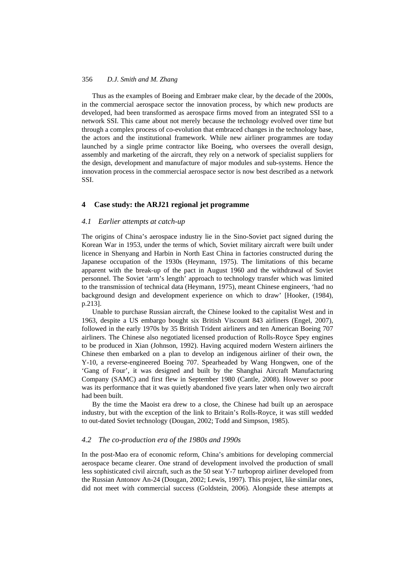Thus as the examples of Boeing and Embraer make clear, by the decade of the 2000s, in the commercial aerospace sector the innovation process, by which new products are developed, had been transformed as aerospace firms moved from an integrated SSI to a network SSI. This came about not merely because the technology evolved over time but through a complex process of co-evolution that embraced changes in the technology base, the actors and the institutional framework. While new airliner programmes are today launched by a single prime contractor like Boeing, who oversees the overall design, assembly and marketing of the aircraft, they rely on a network of specialist suppliers for the design, development and manufacture of major modules and sub-systems. Hence the innovation process in the commercial aerospace sector is now best described as a network SSI.

# **4 Case study: the ARJ21 regional jet programme**

## *4.1 Earlier attempts at catch-up*

The origins of China's aerospace industry lie in the Sino-Soviet pact signed during the Korean War in 1953, under the terms of which, Soviet military aircraft were built under licence in Shenyang and Harbin in North East China in factories constructed during the Japanese occupation of the 1930s (Heymann, 1975). The limitations of this became apparent with the break-up of the pact in August 1960 and the withdrawal of Soviet personnel. The Soviet 'arm's length' approach to technology transfer which was limited to the transmission of technical data (Heymann, 1975), meant Chinese engineers, 'had no background design and development experience on which to draw' [Hooker, (1984), p.213].

Unable to purchase Russian aircraft, the Chinese looked to the capitalist West and in 1963, despite a US embargo bought six British Viscount 843 airliners (Engel, 2007), followed in the early 1970s by 35 British Trident airliners and ten American Boeing 707 airliners. The Chinese also negotiated licensed production of Rolls-Royce Spey engines to be produced in Xian (Johnson, 1992). Having acquired modern Western airliners the Chinese then embarked on a plan to develop an indigenous airliner of their own, the Y-10, a reverse-engineered Boeing 707. Spearheaded by Wang Hongwen, one of the 'Gang of Four', it was designed and built by the Shanghai Aircraft Manufacturing Company (SAMC) and first flew in September 1980 (Cantle, 2008). However so poor was its performance that it was quietly abandoned five years later when only two aircraft had been built.

By the time the Maoist era drew to a close, the Chinese had built up an aerospace industry, but with the exception of the link to Britain's Rolls-Royce, it was still wedded to out-dated Soviet technology (Dougan, 2002; Todd and Simpson, 1985).

## *4.2 The co-production era of the 1980s and 1990s*

In the post-Mao era of economic reform, China's ambitions for developing commercial aerospace became clearer. One strand of development involved the production of small less sophisticated civil aircraft, such as the 50 seat Y-7 turboprop airliner developed from the Russian Antonov An-24 (Dougan, 2002; Lewis, 1997). This project, like similar ones, did not meet with commercial success (Goldstein, 2006). Alongside these attempts at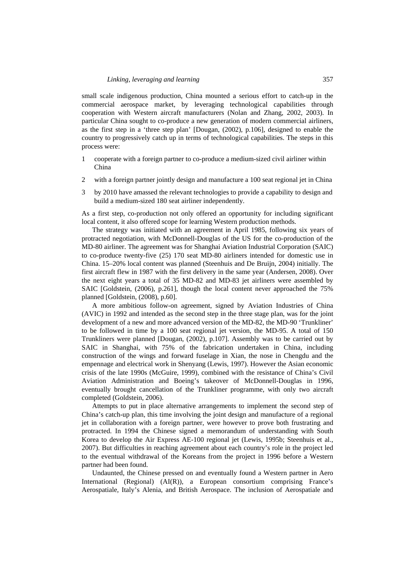small scale indigenous production, China mounted a serious effort to catch-up in the commercial aerospace market, by leveraging technological capabilities through cooperation with Western aircraft manufacturers (Nolan and Zhang, 2002, 2003). In particular China sought to co-produce a new generation of modern commercial airliners, as the first step in a 'three step plan' [Dougan, (2002), p.106], designed to enable the country to progressively catch up in terms of technological capabilities. The steps in this process were:

- 1 cooperate with a foreign partner to co-produce a medium-sized civil airliner within China
- 2 with a foreign partner jointly design and manufacture a 100 seat regional jet in China
- 3 by 2010 have amassed the relevant technologies to provide a capability to design and build a medium-sized 180 seat airliner independently.

As a first step, co-production not only offered an opportunity for including significant local content, it also offered scope for learning Western production methods.

The strategy was initiated with an agreement in April 1985, following six years of protracted negotiation, with McDonnell-Douglas of the US for the co-production of the MD-80 airliner. The agreement was for Shanghai Aviation Industrial Corporation (SAIC) to co-produce twenty-five (25) 170 seat MD-80 airliners intended for domestic use in China. 15–20% local content was planned (Steenhuis and De Bruijn, 2004) initially. The first aircraft flew in 1987 with the first delivery in the same year (Andersen, 2008). Over the next eight years a total of 35 MD-82 and MD-83 jet airliners were assembled by SAIC [Goldstein, (2006), p.261], though the local content never approached the 75% planned [Goldstein, (2008), p.60].

A more ambitious follow-on agreement, signed by Aviation Industries of China (AVIC) in 1992 and intended as the second step in the three stage plan, was for the joint development of a new and more advanced version of the MD-82, the MD-90 'Trunkliner' to be followed in time by a 100 seat regional jet version, the MD-95. A total of 150 Trunkliners were planned [Dougan, (2002), p.107]. Assembly was to be carried out by SAIC in Shanghai, with 75% of the fabrication undertaken in China, including construction of the wings and forward fuselage in Xian, the nose in Chengdu and the empennage and electrical work in Shenyang (Lewis, 1997). However the Asian economic crisis of the late 1990s (McGuire, 1999), combined with the resistance of China's Civil Aviation Administration and Boeing's takeover of McDonnell-Douglas in 1996, eventually brought cancellation of the Trunkliner programme, with only two aircraft completed (Goldstein, 2006).

Attempts to put in place alternative arrangements to implement the second step of China's catch-up plan, this time involving the joint design and manufacture of a regional jet in collaboration with a foreign partner, were however to prove both frustrating and protracted. In 1994 the Chinese signed a memorandum of understanding with South Korea to develop the Air Express AE-100 regional jet (Lewis, 1995b; Steenhuis et al., 2007). But difficulties in reaching agreement about each country's role in the project led to the eventual withdrawal of the Koreans from the project in 1996 before a Western partner had been found.

Undaunted, the Chinese pressed on and eventually found a Western partner in Aero International (Regional) (AI(R)), a European consortium comprising France's Aerospatiale, Italy's Alenia, and British Aerospace. The inclusion of Aerospatiale and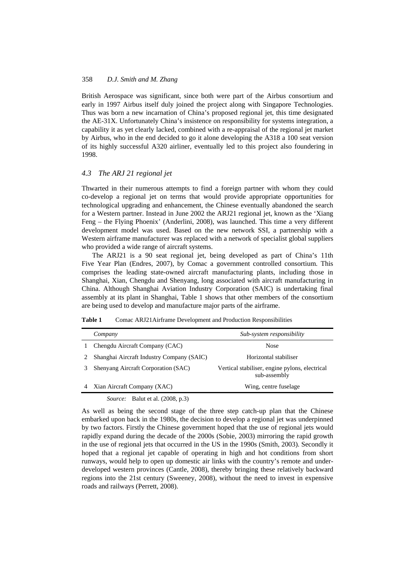British Aerospace was significant, since both were part of the Airbus consortium and early in 1997 Airbus itself duly joined the project along with Singapore Technologies. Thus was born a new incarnation of China's proposed regional jet, this time designated the AE-31X. Unfortunately China's insistence on responsibility for systems integration, a capability it as yet clearly lacked, combined with a re-appraisal of the regional jet market by Airbus, who in the end decided to go it alone developing the A318 a 100 seat version of its highly successful A320 airliner, eventually led to this project also foundering in 1998.

## *4.3 The ARJ 21 regional jet*

Thwarted in their numerous attempts to find a foreign partner with whom they could co-develop a regional jet on terms that would provide appropriate opportunities for technological upgrading and enhancement, the Chinese eventually abandoned the search for a Western partner. Instead in June 2002 the ARJ21 regional jet, known as the 'Xiang Feng – the Flying Phoenix' (Anderlini, 2008), was launched. This time a very different development model was used. Based on the new network SSI, a partnership with a Western airframe manufacturer was replaced with a network of specialist global suppliers who provided a wide range of aircraft systems.

The ARJ21 is a 90 seat regional jet, being developed as part of China's 11th Five Year Plan (Endres, 2007), by Comac a government controlled consortium. This comprises the leading state-owned aircraft manufacturing plants, including those in Shanghai, Xian, Chengdu and Shenyang, long associated with aircraft manufacturing in China. Although Shanghai Aviation Industry Corporation (SAIC) is undertaking final assembly at its plant in Shanghai, Table 1 shows that other members of the consortium are being used to develop and manufacture major parts of the airframe.

**Table 1** Comac ARJ21Airframe Development and Production Responsibilities

| Company                                   | Sub-system responsibility                                      |  |  |
|-------------------------------------------|----------------------------------------------------------------|--|--|
| Chengdu Aircraft Company (CAC)            | <b>Nose</b>                                                    |  |  |
| Shanghai Aircraft Industry Company (SAIC) | Horizontal stabiliser                                          |  |  |
| Shenyang Aircraft Corporation (SAC)       | Vertical stabiliser, engine pylons, electrical<br>sub-assembly |  |  |
| Xian Aircraft Company (XAC)               | Wing, centre fuselage                                          |  |  |

*Source:* Balut et al. (2008, p.3)

As well as being the second stage of the three step catch-up plan that the Chinese embarked upon back in the 1980s, the decision to develop a regional jet was underpinned by two factors. Firstly the Chinese government hoped that the use of regional jets would rapidly expand during the decade of the 2000s (Sobie, 2003) mirroring the rapid growth in the use of regional jets that occurred in the US in the 1990s (Smith, 2003). Secondly it hoped that a regional jet capable of operating in high and hot conditions from short runways, would help to open up domestic air links with the country's remote and underdeveloped western provinces (Cantle, 2008), thereby bringing these relatively backward regions into the 21st century (Sweeney, 2008), without the need to invest in expensive roads and railways (Perrett, 2008).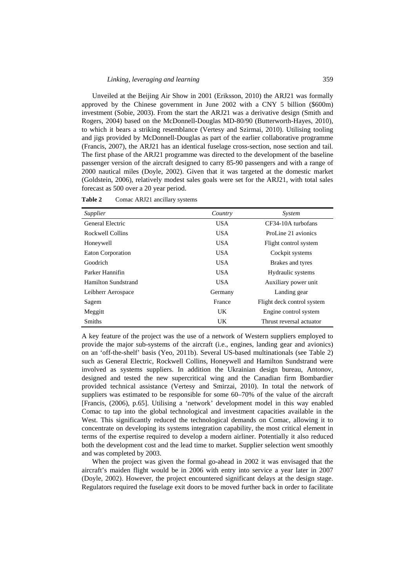Unveiled at the Beijing Air Show in 2001 (Eriksson, 2010) the ARJ21 was formally approved by the Chinese government in June 2002 with a CNY 5 billion (\$600m) investment (Sobie, 2003). From the start the ARJ21 was a derivative design (Smith and Rogers, 2004) based on the McDonnell-Douglas MD-80/90 (Butterworth-Hayes, 2010), to which it bears a striking resemblance (Vertesy and Szirmai, 2010). Utilising tooling and jigs provided by McDonnell-Douglas as part of the earlier collaborative programme (Francis, 2007), the ARJ21 has an identical fuselage cross-section, nose section and tail. The first phase of the ARJ21 programme was directed to the development of the baseline passenger version of the aircraft designed to carry 85-90 passengers and with a range of 2000 nautical miles (Doyle, 2002). Given that it was targeted at the domestic market (Goldstein, 2006), relatively modest sales goals were set for the ARJ21, with total sales forecast as 500 over a 20 year period.

Table 2 Comac ARJ21 ancillary systems

| Supplier                   | Country    | System                     |
|----------------------------|------------|----------------------------|
| General Electric           | USA.       | CF34-10A turbofans         |
| Rockwell Collins           | <b>USA</b> | ProLine 21 avionics        |
| Honeywell                  | USA.       | Flight control system      |
| Eaton Corporation          | USA.       | Cockpit systems            |
| Goodrich                   | <b>USA</b> | Brakes and tyres           |
| Parker Hannifin            | USA.       | Hydraulic systems          |
| <b>Hamilton Sundstrand</b> | USA.       | Auxiliary power unit       |
| Leibherr Aerospace         | Germany    | Landing gear               |
| Sagem                      | France     | Flight deck control system |
| Meggitt                    | UK         | Engine control system      |
| <b>Smiths</b>              | UK         | Thrust reversal actuator   |

A key feature of the project was the use of a network of Western suppliers employed to provide the major sub-systems of the aircraft (i.e., engines, landing gear and avionics) on an 'off-the-shelf' basis (Yeo, 2011b). Several US-based multinationals (see Table 2) such as General Electric, Rockwell Collins, Honeywell and Hamilton Sundstrand were involved as systems suppliers. In addition the Ukrainian design bureau, Antonov, designed and tested the new supercritical wing and the Canadian firm Bombardier provided technical assistance (Vertesy and Smirzai, 2010). In total the network of suppliers was estimated to be responsible for some 60–70% of the value of the aircraft [Francis, (2006), p.65]. Utilising a 'network' development model in this way enabled Comac to tap into the global technological and investment capacities available in the West. This significantly reduced the technological demands on Comac, allowing it to concentrate on developing its systems integration capability, the most critical element in terms of the expertise required to develop a modern airliner. Potentially it also reduced both the development cost and the lead time to market. Supplier selection went smoothly and was completed by 2003.

When the project was given the formal go-ahead in 2002 it was envisaged that the aircraft's maiden flight would be in 2006 with entry into service a year later in 2007 (Doyle, 2002). However, the project encountered significant delays at the design stage. Regulators required the fuselage exit doors to be moved further back in order to facilitate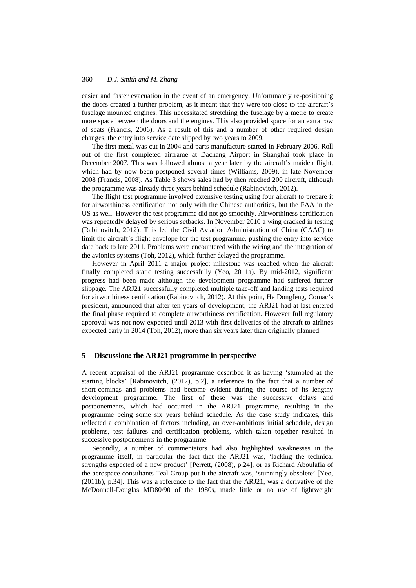easier and faster evacuation in the event of an emergency. Unfortunately re-positioning the doors created a further problem, as it meant that they were too close to the aircraft's fuselage mounted engines. This necessitated stretching the fuselage by a metre to create more space between the doors and the engines. This also provided space for an extra row of seats (Francis, 2006). As a result of this and a number of other required design changes, the entry into service date slipped by two years to 2009.

The first metal was cut in 2004 and parts manufacture started in February 2006. Roll out of the first completed airframe at Dachang Airport in Shanghai took place in December 2007. This was followed almost a year later by the aircraft's maiden flight, which had by now been postponed several times (Williams, 2009), in late November 2008 (Francis, 2008). As Table 3 shows sales had by then reached 200 aircraft, although the programme was already three years behind schedule (Rabinovitch, 2012).

The flight test programme involved extensive testing using four aircraft to prepare it for airworthiness certification not only with the Chinese authorities, but the FAA in the US as well. However the test programme did not go smoothly. Airworthiness certification was repeatedly delayed by serious setbacks. In November 2010 a wing cracked in testing (Rabinovitch, 2012). This led the Civil Aviation Administration of China (CAAC) to limit the aircraft's flight envelope for the test programme, pushing the entry into service date back to late 2011. Problems were encountered with the wiring and the integration of the avionics systems (Toh, 2012), which further delayed the programme.

However in April 2011 a major project milestone was reached when the aircraft finally completed static testing successfully (Yeo, 2011a). By mid-2012, significant progress had been made although the development programme had suffered further slippage. The ARJ21 successfully completed multiple take-off and landing tests required for airworthiness certification (Rabinovitch, 2012). At this point, He Dongfeng, Comac's president, announced that after ten years of development, the ARJ21 had at last entered the final phase required to complete airworthiness certification. However full regulatory approval was not now expected until 2013 with first deliveries of the aircraft to airlines expected early in 2014 (Toh, 2012), more than six years later than originally planned.

# **5 Discussion: the ARJ21 programme in perspective**

A recent appraisal of the ARJ21 programme described it as having 'stumbled at the starting blocks' [Rabinovitch, (2012), p.2], a reference to the fact that a number of short-comings and problems had become evident during the course of its lengthy development programme. The first of these was the successive delays and postponements, which had occurred in the ARJ21 programme, resulting in the programme being some six years behind schedule. As the case study indicates, this reflected a combination of factors including, an over-ambitious initial schedule, design problems, test failures and certification problems, which taken together resulted in successive postponements in the programme.

Secondly, a number of commentators had also highlighted weaknesses in the programme itself, in particular the fact that the ARJ21 was, 'lacking the technical strengths expected of a new product' [Perrett, (2008), p.24], or as Richard Aboulafia of the aerospace consultants Teal Group put it the aircraft was, 'stunningly obsolete' [Yeo, (2011b), p.34]. This was a reference to the fact that the ARJ21, was a derivative of the McDonnell-Douglas MD80/90 of the 1980s, made little or no use of lightweight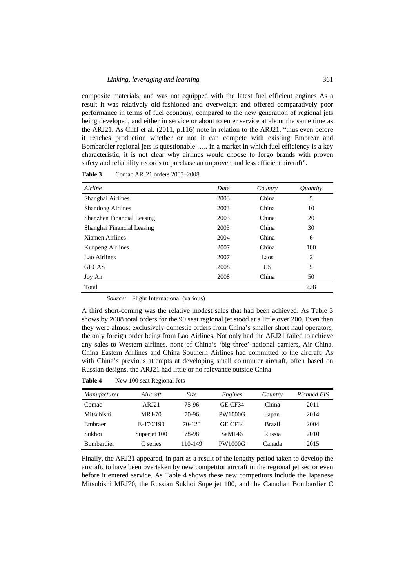composite materials, and was not equipped with the latest fuel efficient engines As a result it was relatively old-fashioned and overweight and offered comparatively poor performance in terms of fuel economy, compared to the new generation of regional jets being developed, and either in service or about to enter service at about the same time as the ARJ21. As Cliff et al. (2011, p.116) note in relation to the ARJ21, "thus even before it reaches production whether or not it can compete with existing Embrear and Bombardier regional jets is questionable ….. in a market in which fuel efficiency is a key characteristic, it is not clear why airlines would choose to forgo brands with proven safety and reliability records to purchase an unproven and less efficient aircraft".

**Table 3** Comac ARJ21 orders 2003–2008

| Airline                    | Date | Country | <i><u><b>Ouantity</b></u></i> |
|----------------------------|------|---------|-------------------------------|
| Shanghai Airlines          | 2003 | China   | 5                             |
| <b>Shandong Airlines</b>   | 2003 | China   | 10                            |
| Shenzhen Financial Leasing | 2003 | China   | 20                            |
| Shanghai Financial Leasing | 2003 | China   | 30                            |
| Xiamen Airlines            | 2004 | China   | 6                             |
| Kunpeng Airlines           | 2007 | China   | 100                           |
| Lao Airlines               | 2007 | Laos    | 2                             |
| <b>GECAS</b>               | 2008 | US      | 5                             |
| Joy Air                    | 2008 | China   | 50                            |
| Total                      |      |         | 228                           |

*Source:* Flight International (various)

A third short-coming was the relative modest sales that had been achieved. As Table 3 shows by 2008 total orders for the 90 seat regional jet stood at a little over 200. Even then they were almost exclusively domestic orders from China's smaller short haul operators, the only foreign order being from Lao Airlines. Not only had the ARJ21 failed to achieve any sales to Western airlines, none of China's 'big three' national carriers, Air China, China Eastern Airlines and China Southern Airlines had committed to the aircraft. As with China's previous attempts at developing small commuter aircraft, often based on Russian designs, the ARJ21 had little or no relevance outside China.

**Table 4** New 100 seat Regional Jets

| Manufacturer      | Aircraft     | Size    | Engines        | Country       | <b>Planned EIS</b> |
|-------------------|--------------|---------|----------------|---------------|--------------------|
| Comac             | ARJ21        | 75-96   | GE CF34        | China         | 2011               |
| Mitsubishi        | $MRJ-70$     | 70-96   | <b>PW1000G</b> | Japan         | 2014               |
| Embraer           | $E-170/190$  | 70-120  | GE CF34        | <b>Brazil</b> | 2004               |
| Sukhoi            | Superjet 100 | 78-98   | SaM146         | Russia        | 2010               |
| <b>Bombardier</b> | C series     | 110-149 | <b>PW1000G</b> | Canada        | 2015               |

Finally, the ARJ21 appeared, in part as a result of the lengthy period taken to develop the aircraft, to have been overtaken by new competitor aircraft in the regional jet sector even before it entered service. As Table 4 shows these new competitors include the Japanese Mitsubishi MRJ70, the Russian Sukhoi Superjet 100, and the Canadian Bombardier C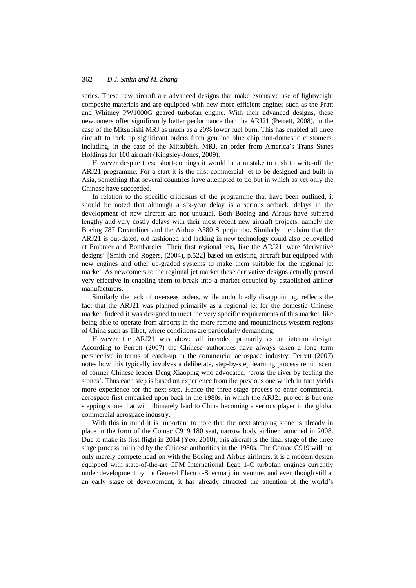series. These new aircraft are advanced designs that make extensive use of lightweight composite materials and are equipped with new more efficient engines such as the Pratt and Whitney PW1000G geared turbofan engine. With their advanced designs, these newcomers offer significantly better performance than the ARJ21 (Perrett, 2008), in the case of the Mitsubishi MRJ as much as a 20% lower fuel burn. This has enabled all three aircraft to rack up significant orders from genuine blue chip non-domestic customers, including, in the case of the Mitsubishi MRJ, an order from America's Trans States Holdings for 100 aircraft (Kingsley-Jones, 2009).

However despite these short-comings it would be a mistake to rush to write-off the ARJ21 programme. For a start it is the first commercial jet to be designed and built in Asia, something that several countries have attempted to do but in which as yet only the Chinese have succeeded.

In relation to the specific criticisms of the programme that have been outlined, it should be noted that although a six-year delay is a serious setback, delays in the development of new aircraft are not unusual. Both Boeing and Airbus have suffered lengthy and very costly delays with their most recent new aircraft projects, namely the Boeing 787 Dreamliner and the Airbus A380 Superjumbo. Similarly the claim that the ARJ21 is out-dated, old fashioned and lacking in new technology could also be levelled at Embraer and Bombardier. Their first regional jets, like the ARJ21, were 'derivative designs' [Smith and Rogers, (2004), p.522] based on existing aircraft but equipped with new engines and other up-graded systems to make them suitable for the regional jet market. As newcomers to the regional jet market these derivative designs actually proved very effective in enabling them to break into a market occupied by established airliner manufacturers.

Similarly the lack of overseas orders, while undoubtedly disappointing, reflects the fact that the ARJ21 was planned primarily as a regional jet for the domestic Chinese market. Indeed it was designed to meet the very specific requirements of this market, like being able to operate from airports in the more remote and mountainous western regions of China such as Tibet, where conditions are particularly demanding.

However the ARJ21 was above all intended primarily as an interim design. According to Perrett (2007) the Chinese authorities have always taken a long term perspective in terms of catch-up in the commercial aerospace industry. Perrett (2007) notes how this typically involves a deliberate, step-by-step learning process reminiscent of former Chinese leader Deng Xiaoping who advocated, 'cross the river by feeling the stones'. Thus each step is based on experience from the previous one which in turn yields more experience for the next step. Hence the three stage process to enter commercial aerospace first embarked upon back in the 1980s, in which the ARJ21 project is but one stepping stone that will ultimately lead to China becoming a serious player in the global commercial aerospace industry.

With this in mind it is important to note that the next stepping stone is already in place in the form of the Comac C919 180 seat, narrow body airliner launched in 2008. Due to make its first flight in 2014 (Yeo, 2010), this aircraft is the final stage of the three stage process initiated by the Chinese authorities in the 1980s. The Comac C919 will not only merely compete head-on with the Boeing and Airbus airliners, it is a modern design equipped with state-of-the-art CFM International Leap 1-C turbofan engines currently under development by the General Electric-Snecma joint venture, and even though still at an early stage of development, it has already attracted the attention of the world's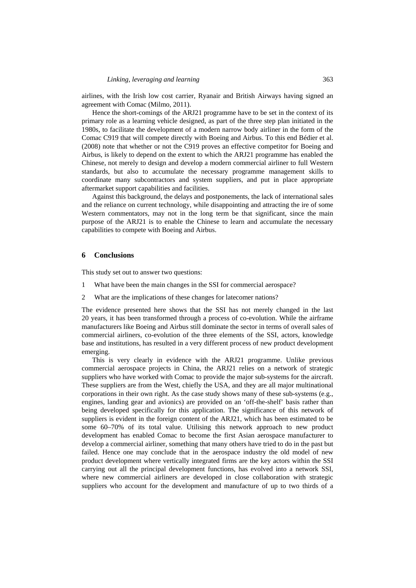airlines, with the Irish low cost carrier, Ryanair and British Airways having signed an agreement with Comac (Milmo, 2011).

Hence the short-comings of the ARJ21 programme have to be set in the context of its primary role as a learning vehicle designed, as part of the three step plan initiated in the 1980s, to facilitate the development of a modern narrow body airliner in the form of the Comac C919 that will compete directly with Boeing and Airbus. To this end Bédier et al. (2008) note that whether or not the C919 proves an effective competitor for Boeing and Airbus, is likely to depend on the extent to which the ARJ21 programme has enabled the Chinese, not merely to design and develop a modern commercial airliner to full Western standards, but also to accumulate the necessary programme management skills to coordinate many subcontractors and system suppliers, and put in place appropriate aftermarket support capabilities and facilities.

Against this background, the delays and postponements, the lack of international sales and the reliance on current technology, while disappointing and attracting the ire of some Western commentators, may not in the long term be that significant, since the main purpose of the ARJ21 is to enable the Chinese to learn and accumulate the necessary capabilities to compete with Boeing and Airbus.

## **6 Conclusions**

This study set out to answer two questions:

- 1 What have been the main changes in the SSI for commercial aerospace?
- 2 What are the implications of these changes for latecomer nations?

The evidence presented here shows that the SSI has not merely changed in the last 20 years, it has been transformed through a process of co-evolution. While the airframe manufacturers like Boeing and Airbus still dominate the sector in terms of overall sales of commercial airliners, co-evolution of the three elements of the SSI, actors, knowledge base and institutions, has resulted in a very different process of new product development emerging.

This is very clearly in evidence with the ARJ21 programme. Unlike previous commercial aerospace projects in China, the ARJ21 relies on a network of strategic suppliers who have worked with Comac to provide the major sub-systems for the aircraft. These suppliers are from the West, chiefly the USA, and they are all major multinational corporations in their own right. As the case study shows many of these sub-systems (e.g., engines, landing gear and avionics) are provided on an 'off-the-shelf' basis rather than being developed specifically for this application. The significance of this network of suppliers is evident in the foreign content of the ARJ21, which has been estimated to be some 60–70% of its total value. Utilising this network approach to new product development has enabled Comac to become the first Asian aerospace manufacturer to develop a commercial airliner, something that many others have tried to do in the past but failed. Hence one may conclude that in the aerospace industry the old model of new product development where vertically integrated firms are the key actors within the SSI carrying out all the principal development functions, has evolved into a network SSI, where new commercial airliners are developed in close collaboration with strategic suppliers who account for the development and manufacture of up to two thirds of a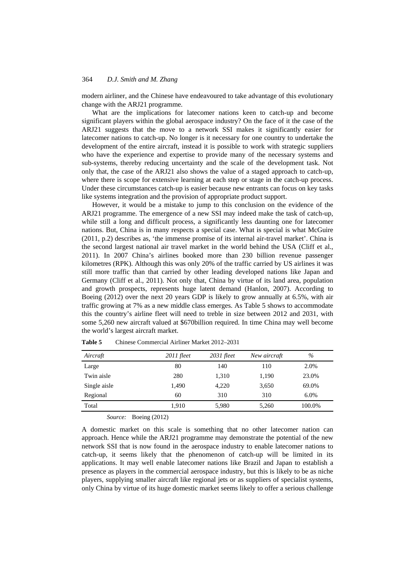modern airliner, and the Chinese have endeavoured to take advantage of this evolutionary change with the ARJ21 programme.

What are the implications for latecomer nations keen to catch-up and become significant players within the global aerospace industry? On the face of it the case of the ARJ21 suggests that the move to a network SSI makes it significantly easier for latecomer nations to catch-up. No longer is it necessary for one country to undertake the development of the entire aircraft, instead it is possible to work with strategic suppliers who have the experience and expertise to provide many of the necessary systems and sub-systems, thereby reducing uncertainty and the scale of the development task. Not only that, the case of the ARJ21 also shows the value of a staged approach to catch-up, where there is scope for extensive learning at each step or stage in the catch-up process. Under these circumstances catch-up is easier because new entrants can focus on key tasks like systems integration and the provision of appropriate product support.

However, it would be a mistake to jump to this conclusion on the evidence of the ARJ21 programme. The emergence of a new SSI may indeed make the task of catch-up, while still a long and difficult process, a significantly less daunting one for latecomer nations. But, China is in many respects a special case. What is special is what McGuire (2011, p.2) describes as, 'the immense promise of its internal air-travel market'. China is the second largest national air travel market in the world behind the USA (Cliff et al., 2011). In 2007 China's airlines booked more than 230 billion revenue passenger kilometres (RPK). Although this was only 20% of the traffic carried by US airlines it was still more traffic than that carried by other leading developed nations like Japan and Germany (Cliff et al., 2011). Not only that, China by virtue of its land area, population and growth prospects, represents huge latent demand (Hanlon, 2007). According to Boeing (2012) over the next 20 years GDP is likely to grow annually at 6.5%, with air traffic growing at 7% as a new middle class emerges. As Table 5 shows to accommodate this the country's airline fleet will need to treble in size between 2012 and 2031, with some 5,260 new aircraft valued at \$670billion required. In time China may well become the world's largest aircraft market.

| Aircraft     | 2011 fleet | 2031 fleet | New aircraft | $\%$   |
|--------------|------------|------------|--------------|--------|
| Large        | 80         | 140        | 110          | 2.0%   |
| Twin aisle   | 280        | 1,310      | 1,190        | 23.0%  |
| Single aisle | 1.490      | 4,220      | 3,650        | 69.0%  |
| Regional     | 60         | 310        | 310          | 6.0%   |
| Total        | 1,910      | 5,980      | 5,260        | 100.0% |

**Table 5** Chinese Commercial Airliner Market 2012–2031

*Source:* Boeing (2012)

A domestic market on this scale is something that no other latecomer nation can approach. Hence while the ARJ21 programme may demonstrate the potential of the new network SSI that is now found in the aerospace industry to enable latecomer nations to catch-up, it seems likely that the phenomenon of catch-up will be limited in its applications. It may well enable latecomer nations like Brazil and Japan to establish a presence as players in the commercial aerospace industry, but this is likely to be as niche players, supplying smaller aircraft like regional jets or as suppliers of specialist systems, only China by virtue of its huge domestic market seems likely to offer a serious challenge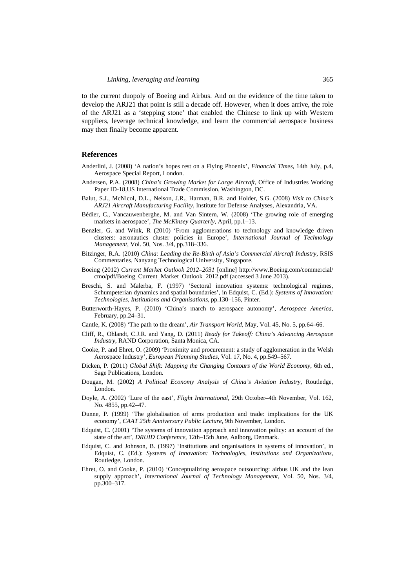to the current duopoly of Boeing and Airbus. And on the evidence of the time taken to develop the ARJ21 that point is still a decade off. However, when it does arrive, the role of the ARJ21 as a 'stepping stone' that enabled the Chinese to link up with Western suppliers, leverage technical knowledge, and learn the commercial aerospace business may then finally become apparent.

#### **References**

- Anderlini, J. (2008) 'A nation's hopes rest on a Flying Phoenix', *Financial Times*, 14th July, p.4, Aerospace Special Report, London.
- Andersen, P.A. (2008) *China's Growing Market for Large Aircraft*, Office of Industries Working Paper ID-18,US International Trade Commission, Washington, DC.
- Balut, S.J., McNicol, D.L., Nelson, J.R., Harman, B.R. and Holder, S.G. (2008) *Visit to China's ARJ21 Aircraft Manufacturing Facility*, Institute for Defense Analyses, Alexandria, VA.
- Bédier, C., Vancauwenberghe, M. and Van Sintern, W. (2008) 'The growing role of emerging markets in aerospace', *The McKinsey Quarterly*, April, pp.1–13.
- Benzler, G. and Wink, R (2010) 'From agglomerations to technology and knowledge driven clusters: aeronautics cluster policies in Europe', *International Journal of Technology Management*, Vol. 50, Nos. 3/4, pp.318–336.
- Bitzinger, R.A. (2010) *China: Leading the Re-Birth of Asia's Commercial Aircraft Industry*, RSIS Commentaries, Nanyang Technological University, Singapore.
- Boeing (2012) *Current Market Outlook 2012–2031* [online] http://www.Boeing.com/commercial/ cmo/pdf/Boeing\_Current\_Market\_Outlook\_2012.pdf (accessed 3 June 2013).
- Breschi, S. and Malerba, F. (1997) 'Sectoral innovation systems: technological regimes, Schumpeterian dynamics and spatial boundaries', in Edquist, C. (Ed.): *Systems of Innovation: Technologies, Institutions and Organisations*, pp.130–156, Pinter.
- Butterworth-Hayes, P. (2010) 'China's march to aerospace autonomy', *Aerospace America*, February, pp.24–31.
- Cantle, K. (2008) 'The path to the dream', *Air Transport World*, May, Vol. 45, No. 5, pp.64–66.
- Cliff, R., Ohlandt, C.J.R. and Yang, D. (2011) *Ready for Takeoff: China's Advancing Aerospace Industry*, RAND Corporation, Santa Monica, CA.
- Cooke, P. and Ehret, O. (2009) 'Proximity and procurement: a study of agglomeration in the Welsh Aerospace Industry', *European Planning Studies*, Vol. 17, No. 4, pp.549–567.
- Dicken, P. (2011) *Global Shift: Mapping the Changing Contours of the World Economy*, 6th ed., Sage Publications, London.
- Dougan, M. (2002) *A Political Economy Analysis of China's Aviation Industry*, Routledge, London.
- Doyle, A. (2002) 'Lure of the east', *Flight International*, 29th October–4th November, Vol. 162, No. 4855, pp.42–47.
- Dunne, P. (1999) 'The globalisation of arms production and trade: implications for the UK economy', *CAAT 25th Anniversary Public Lecture*, 9th November, London.
- Edquist, C. (2001) 'The systems of innovation approach and innovation policy: an account of the state of the art', *DRUID Conference*, 12th–15th June, Aalborg, Denmark.
- Edquist, C. and Johnson, B. (1997) 'Institutions and organisations in systems of innovation', in Edquist, C. (Ed.): *Systems of Innovation: Technologies, Institutions and Organizations*, Routledge, London.
- Ehret, O. and Cooke, P. (2010) 'Conceptualizing aerospace outsourcing: airbus UK and the lean supply approach', *International Journal of Technology Management*, Vol. 50, Nos. 3/4, pp.300–317.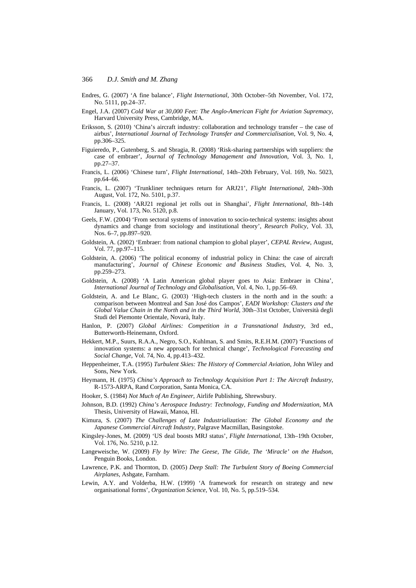- Endres, G. (2007) 'A fine balance', *Flight International*, 30th October–5th November, Vol. 172, No. 5111, pp.24–37.
- Engel, J.A. (2007) *Cold War at 30,000 Feet: The Anglo-American Fight for Aviation Supremacy*, Harvard University Press, Cambridge, MA.
- Eriksson, S. (2010) 'China's aircraft industry: collaboration and technology transfer the case of airbus', *International Journal of Technology Transfer and Commercialisation*, Vol. 9, No. 4, pp.306–325.
- Figuieredo, P., Gutenberg, S. and Sbragia, R. (2008) 'Risk-sharing partnerships with suppliers: the case of embraer', *Journal of Technology Management and Innovation*, Vol. 3, No. 1, pp.27–37.
- Francis, L. (2006) 'Chinese turn', *Flight International*, 14th–20th February, Vol. 169, No. 5023, pp.64–66.
- Francis, L. (2007) 'Trunkliner techniques return for ARJ21', *Flight International*, 24th–30th August, Vol. 172, No. 5101, p.37.
- Francis, L. (2008) 'ARJ21 regional jet rolls out in Shanghai', *Flight International*, 8th–14th January, Vol. 173, No. 5120, p.8.
- Geels, F.W. (2004) 'From sectoral systems of innovation to socio-technical systems: insights about dynamics and change from sociology and institutional theory', *Research Policy*, Vol. 33, Nos. 6–7, pp.897–920.
- Goldstein, A. (2002) 'Embraer: from national champion to global player', *CEPAL Review*, August, Vol. 77, pp.97–115.
- Goldstein, A. (2006) 'The political economy of industrial policy in China: the case of aircraft manufacturing', *Journal of Chinese Economic and Business Studies*, Vol. 4, No. 3, pp.259–273.
- Goldstein, A. (2008) 'A Latin American global player goes to Asia: Embraer in China', *International Journal of Technology and Globalisation*, Vol. 4, No. 1, pp.56–69.
- Goldstein, A. and Le Blanc, G. (2003) 'High-tech clusters in the north and in the south: a comparison between Montreal and San José dos Campos', *EADI Workshop: Clusters and the Global Value Chain in the North and in the Third World*, 30th–31st October, Università degli Studi del Piemonte Orientale, Novarà, Italy.
- Hanlon, P. (2007) *Global Airlines: Competition in a Transnational Industry*, 3rd ed., Butterworth-Heinemann, Oxford.
- Hekkert, M.P., Suurs, R.A.A., Negro, S.O., Kuhlman, S. and Smits, R.E.H.M. (2007) 'Functions of innovation systems: a new approach for technical change', *Technological Forecasting and Social Change*, Vol. 74, No. 4, pp.413–432.
- Heppenheimer, T.A. (1995) *Turbulent Skies: The History of Commercial Aviation*, John Wiley and Sons, New York.
- Heymann, H. (1975) *China's Approach to Technology Acquisition Part 1: The Aircraft Industry*, R-1573-ARPA, Rand Corporation, Santa Monica, CA.
- Hooker, S. (1984) *Not Much of An Engineer*, Airlife Publishing, Shrewsbury.
- Johnson, B.D. (1992) *China's Aerospace Industry: Technology, Funding and Modernization*, MA Thesis, University of Hawaii, Manoa, HI.
- Kimura, S. (2007) *The Challenges of Late Industrialization: The Global Economy and the Japanese Commercial Aircraft Industry*, Palgrave Macmillan, Basingstoke.
- Kingsley-Jones, M. (2009) 'US deal boosts MRJ status', *Flight International*, 13th–19th October, Vol. 176, No. 5210, p.12.
- Langeweische, W. (2009) *Fly by Wire: The Geese, The Glide, The 'Miracle' on the Hudson*, Penguin Books, London.
- Lawrence, P.K. and Thornton, D. (2005) *Deep Stall: The Turbulent Story of Boeing Commercial Airplanes*, Ashgate, Farnham.
- Lewin, A.Y. and Volderba, H.W. (1999) 'A framework for research on strategy and new organisational forms', *Organization Science*, Vol. 10, No. 5, pp.519–534.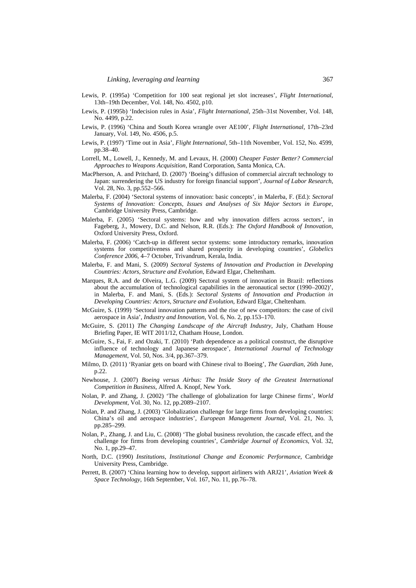- Lewis, P. (1995a) 'Competition for 100 seat regional jet slot increases', *Flight International*, 13th–19th December, Vol. 148, No. 4502, p10.
- Lewis, P. (1995b) 'Indecision rules in Asia', *Flight International*, 25th–31st November, Vol. 148, No. 4499, p.22.
- Lewis, P. (1996) 'China and South Korea wrangle over AE100', *Flight International*, 17th–23rd January, Vol. 149, No. 4506, p.5.
- Lewis, P. (1997) 'Time out in Asia', *Flight International*, 5th–11th November, Vol. 152, No. 4599, pp.38–40.
- Lorrell, M., Lowell, J., Kennedy, M. and Levaux, H. (2000) *Cheaper Faster Better? Commercial Approaches to Weapons Acquisition*, Rand Corporation, Santa Monica, CA.
- MacPherson, A. and Pritchard, D. (2007) 'Boeing's diffusion of commercial aircraft technology to Japan: surrendering the US industry for foreign financial support', *Journal of Labor Research*, Vol. 28, No. 3, pp.552–566.
- Malerba, F. (2004) 'Sectoral systems of innovation: basic concepts', in Malerba, F. (Ed.): *Sectoral Systems of Innovation: Concepts, Issues and Analyses of Six Major Sectors in Europe*, Cambridge University Press, Cambridge.
- Malerba, F. (2005) 'Sectoral systems: how and why innovation differs across sectors', in Fageberg, J., Mowery, D.C. and Nelson, R.R. (Eds.): *The Oxford Handbook of Innovation*, Oxford University Press, Oxford.
- Malerba, F. (2006) 'Catch-up in different sector systems: some introductory remarks, innovation systems for competitiveness and shared prosperity in developing countries', *Globelics Conference 2006*, 4–7 October, Trivandrum, Kerala, India.
- Malerba, F. and Mani, S. (2009) *Sectoral Systems of Innovation and Production in Developing Countries: Actors, Structure and Evolution*, Edward Elgar, Cheltenham.
- Marques, R.A. and de Olveira, L.G. (2009) Sectoral system of innovation in Brazil: reflections about the accumulation of technological capabilities in the aeronautical sector (1990–2002)', in Malerba, F. and Mani, S. (Eds.): *Sectoral Systems of Innovation and Production in Developing Countries: Actors, Structure and Evolution*, Edward Elgar, Cheltenham.
- McGuire, S. (1999) 'Sectoral innovation patterns and the rise of new competitors: the case of civil aerospace in Asia', *Industry and Innovation*, Vol. 6, No. 2, pp.153–170.
- McGuire, S. (2011) *The Changing Landscape of the Aircraft Industry*, July, Chatham House Briefing Paper, IE WIT 2011/12, Chatham House, London.
- McGuire, S., Fai, F. and Ozaki, T. (2010) 'Path dependence as a political construct, the disruptive influence of technology and Japanese aerospace', *International Journal of Technology Management*, Vol. 50, Nos. 3/4, pp.367–379.
- Milmo, D. (2011) 'Ryaniar gets on board with Chinese rival to Boeing', *The Guardian*, 26th June, p.22.
- Newhouse, J. (2007) *Boeing versus Airbus: The Inside Story of the Greatest International Competition in Business*, Alfred A. Knopf, New York.
- Nolan, P. and Zhang, J. (2002) 'The challenge of globalization for large Chinese firms', *World Development*, Vol. 30, No. 12, pp.2089–2107.
- Nolan, P. and Zhang, J. (2003) 'Globalization challenge for large firms from developing countries: China's oil and aerospace industries', *European Management Journal*, Vol. 21, No. 3, pp.285–299.
- Nolan, P., Zhang, J. and Liu, C. (2008) 'The global business revolution, the cascade effect, and the challenge for firms from developing countries', *Cambridge Journal of Economics*, Vol. 32, No. 1, pp.29–47.
- North, D.C. (1990) *Institutions, Institutional Change and Economic Performance*, Cambridge University Press, Cambridge.
- Perrett, B. (2007) 'China learning how to develop, support airliners with ARJ21', *Aviation Week & Space Technology*, 16th September, Vol. 167, No. 11, pp.76–78.